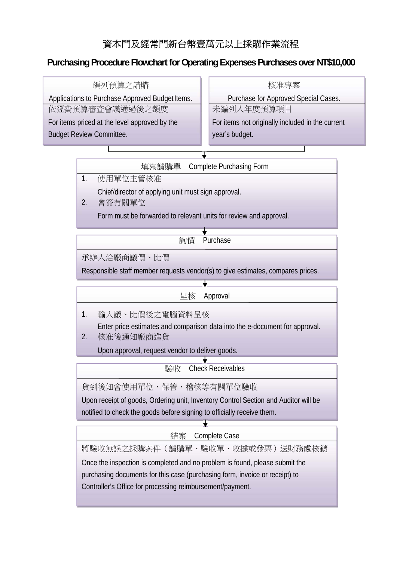## 資本門及經常門新台幣壹萬元以上採購作業流程

## **Purchasing Procedure Flowchart for Operating Expenses Purchases over NT\$10,000**